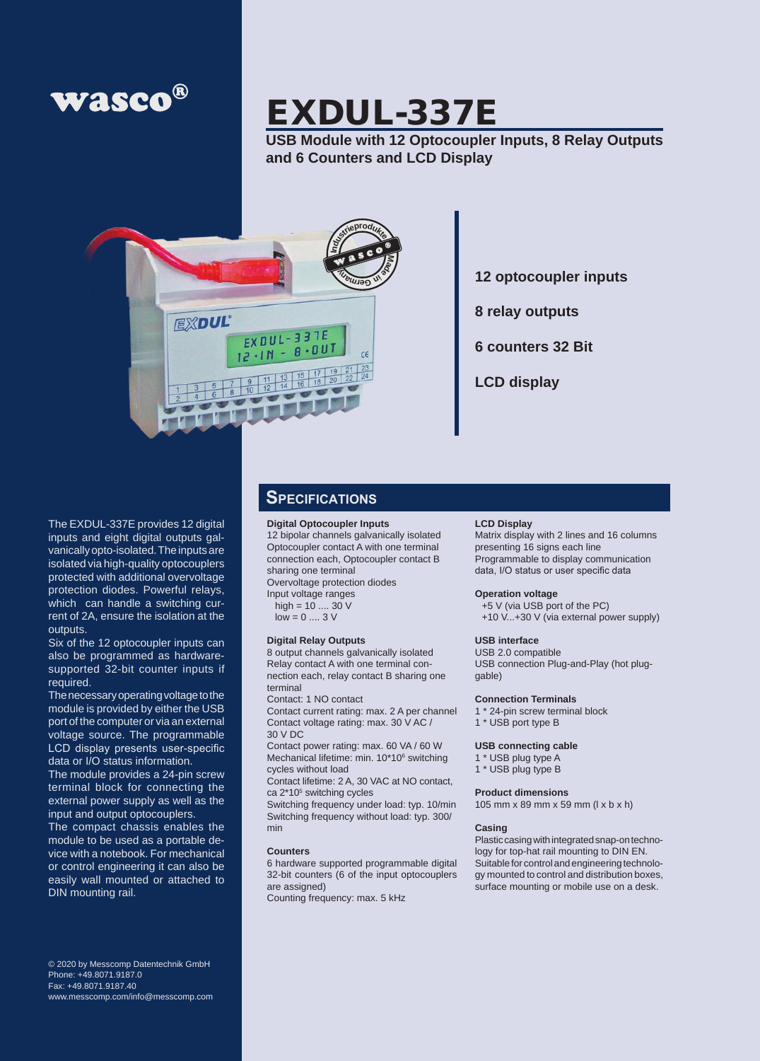

# EXDUL-337E

**USB Module with 12 Optocoupler Inputs, 8 Relay Outputs and 6 Counters and LCD Display**



**12 optocoupler inputs**

**8 relay outputs**

**6 counters 32 Bit**

**LCD display**

The EXDUL-337E provides 12 digital inputs and eight digital outputs galvanically opto-isolated. The inputs are isolated via high-quality optocouplers protected with additional overvoltage protection diodes. Powerful relays, which can handle a switching current of 2A, ensure the isolation at the outputs.

Six of the 12 optocoupler inputs can also be programmed as hardwaresupported 32-bit counter inputs if required.

The necessary operating voltage to the module is provided by either the USB port of the computer or via an external voltage source. The programmable LCD display presents user-specific data or I/O status information.

The module provides a 24-pin screw terminal block for connecting the external power supply as well as the input and output optocouplers.

The compact chassis enables the module to be used as a portable device with a notebook. For mechanical or control engineering it can also be easily wall mounted or attached to DIN mounting rail.

© 2020 by Messcomp Datentechnik GmbH Phone: +49.8071.9187.0 Fax: +49.8071.9187.40 www.messcomp.com/info@messcomp.com

### **Specifications**

### **Digital Optocoupler Inputs**

12 bipolar channels galvanically isolated Optocoupler contact A with one terminal connection each, Optocoupler contact B sharing one terminal

Overvoltage protection diodes

Input voltage ranges high =  $10$  .... 30 V

 $low = 0 \dots 3 V$ 

#### **Digital Relay Outputs**

8 output channels galvanically isolated Relay contact A with one terminal connection each, relay contact B sharing one terminal

Contact: 1 NO contact

Contact current rating: max. 2 A per channel Contact voltage rating: max. 30 V AC / 30 V DC

Contact power rating: max. 60 VA / 60 W Mechanical lifetime: min. 10\*10<sup>6</sup> switching cycles without load

Contact lifetime: 2 A, 30 VAC at NO contact, ca 2\*10<sup>5</sup> switching cycles

Switching frequency under load: typ. 10/min Switching frequency without load: typ. 300/ min

#### **Counters**

6 hardware supported programmable digital 32-bit counters (6 of the input optocouplers are assigned) Counting frequency: max. 5 kHz

#### **LCD Display**

Matrix display with 2 lines and 16 columns presenting 16 signs each line Programmable to display communication data, I/O status or user specific data

#### **Operation voltage**

+5 V (via USB port of the PC) +10 V...+30 V (via external power supply)

### **USB interface**

USB 2.0 compatible USB connection Plug-and-Play (hot pluggable)

#### **Connection Terminals**

1 \* 24-pin screw terminal block

### 1 \* USB port type B

#### **USB connecting cable**

- 1 \* USB plug type A
- 1 \* USB plug type B

#### **Product dimensions**

105 mm x 89 mm x 59 mm (l x b x h)

#### **Casing**

Plastic casing with integrated snap-on technology for top-hat rail mounting to DIN EN. Suitable for control and engineering technology mounted to control and distribution boxes, surface mounting or mobile use on a desk.